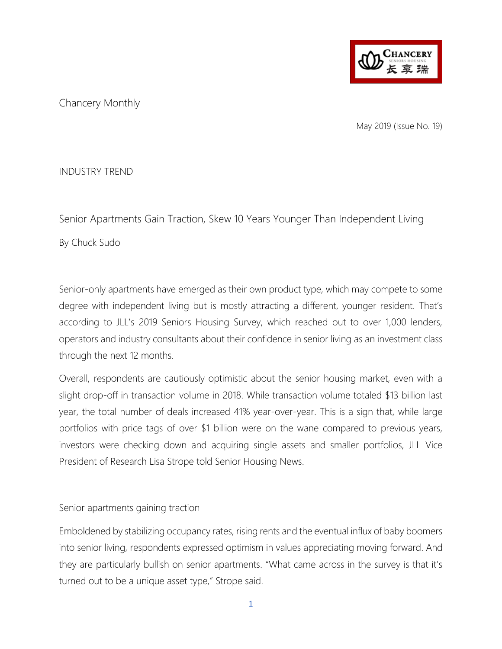

Chancery Monthly

May 2019 (Issue No. 19)

INDUSTRY TREND

Senior Apartments Gain Traction, Skew 10 Years Younger Than Independent Living

By Chuck Sudo

Senior-only apartments have emerged as their own product type, which may compete to some degree with independent living but is mostly attracting a different, younger resident. That's according to JLL's 2019 Seniors Housing Survey, which reached out to over 1,000 lenders, operators and industry consultants about their confidence in senior living as an investment class through the next 12 months.

Overall, respondents are cautiously optimistic about the senior housing market, even with a slight drop-off in transaction volume in 2018. While transaction volume totaled \$13 billion last year, the total number of deals increased 41% year-over-year. This is a sign that, while large portfolios with price tags of over \$1 billion were on the wane compared to previous years, investors were checking down and acquiring single assets and smaller portfolios, JLL Vice President of Research Lisa Strope told Senior Housing News.

Senior apartments gaining traction

Emboldened by stabilizing occupancy rates, rising rents and the eventual influx of baby boomers into senior living, respondents expressed optimism in values appreciating moving forward. And they are particularly bullish on senior apartments. "What came across in the survey is that it's turned out to be a unique asset type," Strope said.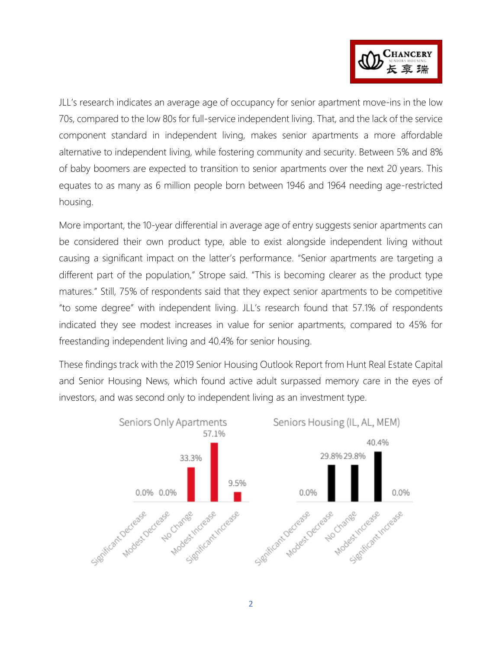

JLL's research indicates an average age of occupancy for senior apartment move-ins in the low 70s, compared to the low 80s for full-service independent living. That, and the lack of the service component standard in independent living, makes senior apartments a more affordable alternative to independent living, while fostering community and security. Between 5% and 8% of baby boomers are expected to transition to senior apartments over the next 20 years. This equates to as many as 6 million people born between 1946 and 1964 needing age-restricted housing.

More important, the 10-year differential in average age of entry suggests senior apartments can be considered their own product type, able to exist alongside independent living without causing a significant impact on the latter's performance. "Senior apartments are targeting a different part of the population," Strope said. "This is becoming clearer as the product type matures." Still, 75% of respondents said that they expect senior apartments to be competitive "to some degree" with independent living. JLL's research found that 57.1% of respondents indicated they see modest increases in value for senior apartments, compared to 45% for freestanding independent living and 40.4% for senior housing.

These findings track with the 2019 Senior Housing Outlook Report from Hunt Real Estate Capital and Senior Housing News, which found active adult surpassed memory care in the eyes of investors, and was second only to independent living as an investment type.

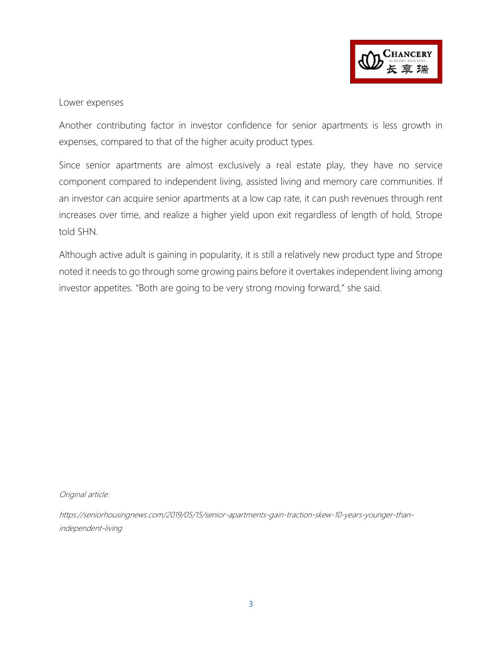

## Lower expenses

Another contributing factor in investor confidence for senior apartments is less growth in expenses, compared to that of the higher acuity product types.

Since senior apartments are almost exclusively a real estate play, they have no service component compared to independent living, assisted living and memory care communities. If an investor can acquire senior apartments at a low cap rate, it can push revenues through rent increases over time, and realize a higher yield upon exit regardless of length of hold, Strope told SHN.

Although active adult is gaining in popularity, it is still a relatively new product type and Strope noted it needs to go through some growing pains before it overtakes independent living among investor appetites. "Both are going to be very strong moving forward," she said.

Original article:

https://seniorhousingnews.com/2019/05/15/senior-apartments-gain-traction-skew-10-years-younger-thanindependent-living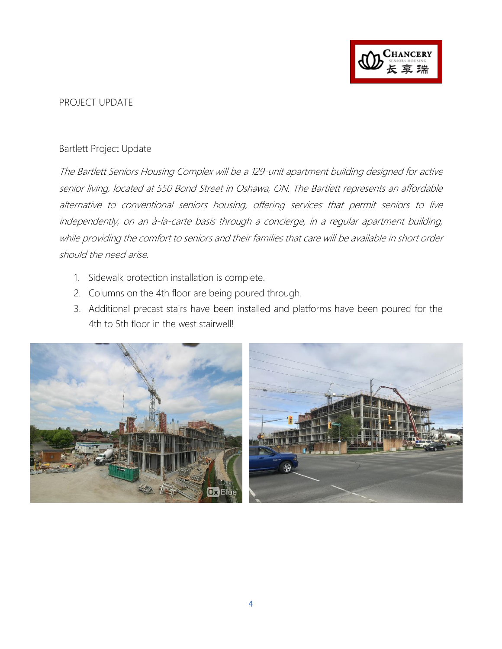

## PROJECT UPDATE

## Bartlett Project Update

The Bartlett Seniors Housing Complex will be a 129-unit apartment building designed for active senior living, located at 550 Bond Street in Oshawa, ON. The Bartlett represents an affordable alternative to conventional seniors housing, offering services that permit seniors to live independently, on an à-la-carte basis through a concierge, in a regular apartment building, while providing the comfort to seniors and their families that care will be available in short order should the need arise.

- 1. Sidewalk protection installation is complete.
- 2. Columns on the 4th floor are being poured through.
- 3. Additional precast stairs have been installed and platforms have been poured for the 4th to 5th floor in the west stairwell!



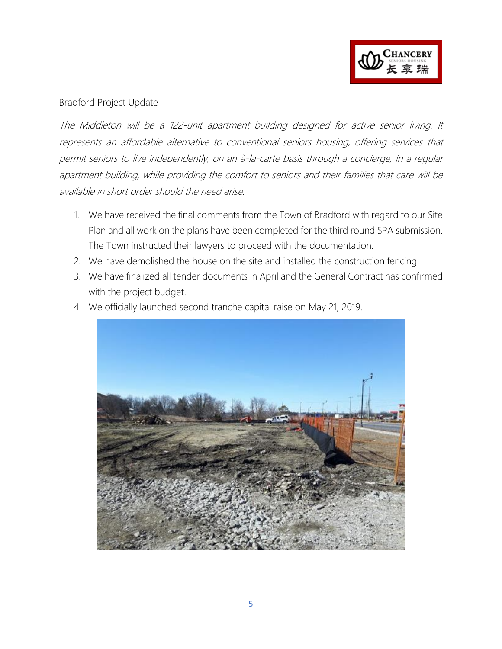

## Bradford Project Update

The Middleton will be a 122-unit apartment building designed for active senior living. It represents an affordable alternative to conventional seniors housing, offering services that permit seniors to live independently, on an à-la-carte basis through a concierge, in a regular apartment building, while providing the comfort to seniors and their families that care will be available in short order should the need arise.

- 1. We have received the final comments from the Town of Bradford with regard to our Site Plan and all work on the plans have been completed for the third round SPA submission. The Town instructed their lawyers to proceed with the documentation.
- 2. We have demolished the house on the site and installed the construction fencing.
- 3. We have finalized all tender documents in April and the General Contract has confirmed with the project budget.